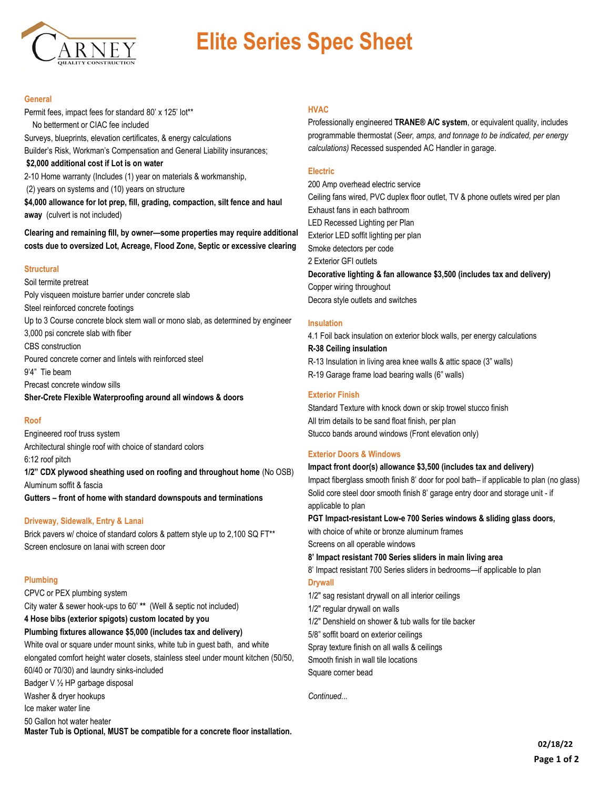

# **Elite Series Spec Sheet**

## **General**

Permit fees, impact fees for standard 80' x 125' lot\*\* No betterment or CIAC fee included Surveys, blueprints, elevation certificates, & energy calculations Builder's Risk, Workman's Compensation and General Liability insurances; **\$2,000 additional cost if Lot is on water** 2-10 Home warranty (Includes (1) year on materials & workmanship, (2) years on systems and (10) years on structure **\$4,000 allowance for lot prep, fill, grading, compaction, silt fence and haul away** (culvert is not included)

**Clearing and remaining fill, by owner—some properties may require additional costs due to oversized Lot, Acreage, Flood Zone, Septic or excessive clearing**

## **Structural**

Soil termite pretreat Poly visqueen moisture barrier under concrete slab Steel reinforced concrete footings Up to 3 Course concrete block stem wall or mono slab, as determined by engineer 3,000 psi concrete slab with fiber CBS construction Poured concrete corner and lintels with reinforced steel 9'4" Tie beam Precast concrete window sills **Sher-Crete Flexible Waterproofing around all windows & doors**

## **Roof**

Engineered roof truss system Architectural shingle roof with choice of standard colors 6:12 roof pitch **1/2" CDX plywood sheathing used on roofing and throughout home** (No OSB) Aluminum soffit & fascia **Gutters – front of home with standard downspouts and terminations**

## **Driveway, Sidewalk, Entry & Lanai**

Brick pavers w/ choice of standard colors & pattern style up to 2,100 SQ FT\*\* Screen enclosure on lanai with screen door

# **Plumbing**

CPVC or PEX plumbing system City water & sewer hook-ups to 60' **\*\*** (Well & septic not included)

**4 Hose bibs (exterior spigots) custom located by you**

**Plumbing fixtures allowance \$5,000 (includes tax and delivery)**

White oval or square under mount sinks, white tub in guest bath, and white elongated comfort height water closets, stainless steel under mount kitchen (50/50, 60/40 or 70/30) and laundry sinks-included

Badger V ½ HP garbage disposal

Washer & dryer hookups

Ice maker water line

50 Gallon hot water heater

**Master Tub is Optional, MUST be compatible for a concrete floor installation.**

## **HVAC**

Professionally engineered **TRANE® A/C system**, or equivalent quality, includes programmable thermostat (*Seer, amps, and tonnage to be indicated, per energy calculations)* Recessed suspended AC Handler in garage.

## **Electric**

200 Amp overhead electric service Ceiling fans wired, PVC duplex floor outlet, TV & phone outlets wired per plan Exhaust fans in each bathroom LED Recessed Lighting per Plan Exterior LED soffit lighting per plan Smoke detectors per code 2 Exterior GFI outlets **Decorative lighting & fan allowance \$3,500 (includes tax and delivery)** Copper wiring throughout Decora style outlets and switches

## **Insulation**

4.1 Foil back insulation on exterior block walls, per energy calculations **R-38 Ceiling insulation** R-13 Insulation in living area knee walls & attic space (3" walls) R-19 Garage frame load bearing walls (6" walls)

## **Exterior Finish**

Standard Texture with knock down or skip trowel stucco finish All trim details to be sand float finish, per plan Stucco bands around windows (Front elevation only)

## **Exterior Doors & Windows**

## **Impact front door(s) allowance \$3,500 (includes tax and delivery)**

Impact fiberglass smooth finish 8' door for pool bath– if applicable to plan (no glass) Solid core steel door smooth finish 8' garage entry door and storage unit - if applicable to plan

**PGT Impact-resistant Low-e 700 Series windows & sliding glass doors,** 

with choice of white or bronze aluminum frames

Screens on all operable windows

**8' Impact resistant 700 Series sliders in main living area**

8' Impact resistant 700 Series sliders in bedrooms—if applicable to plan **Drywall** 

1/2" sag resistant drywall on all interior ceilings

1/2" regular drywall on walls

1/2" Denshield on shower & tub walls for tile backer

5/8" soffit board on exterior ceilings

Spray texture finish on all walls & ceilings

Smooth finish in wall tile locations

Square corner bead

*Continued...*